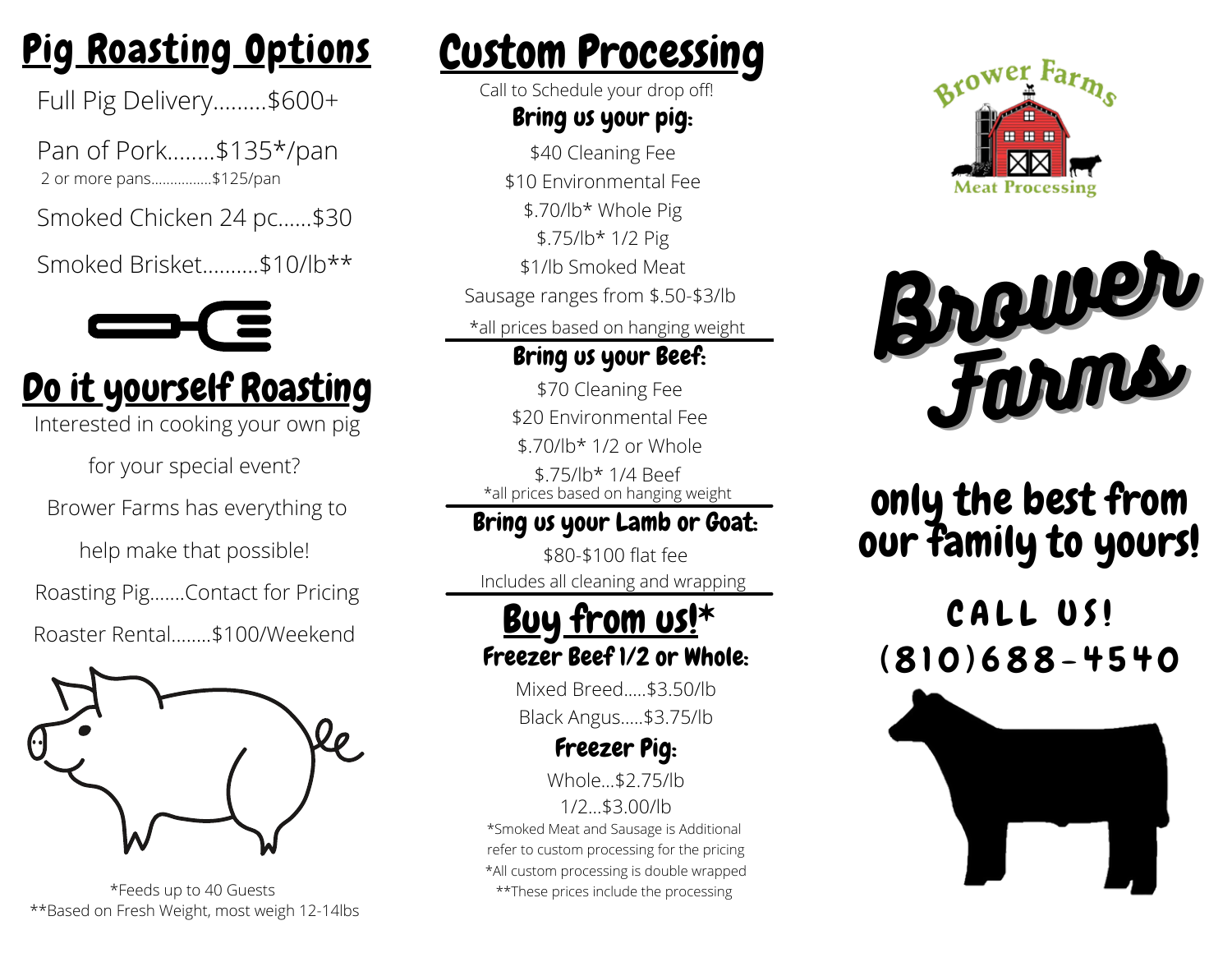# Pig Roasting Options

Full Pig Delivery.........\$600+

Pan of Pork........\$135\*/pan 2 or more pans................\$125/pan

Smoked Chicken 24 pc......\$30

Smoked Brisket..........\$10/lb\*\*



# Do it yourself Roasting

Interested in cooking your own pig

for your special event?

Brower Farms has everything to

help make that possible!

Roasting Pig.......Contact for Pricing

Roaster Rental........\$100/Weekend



\*Feeds up to 40 Guests \*\*Based on Fresh Weight, most weigh 12-14lbs

# Custom Processing

Call to Schedule your drop off!

### Bring us your pig:

\$40 Cleaning Fee \$10 Environmental Fee \$.70/lb\* Whole Pig \$.75/lb\* 1/2 Pig \$1/lb Smoked Meat Sausage ranges from \$.50-\$3/lb Bring us your Beef: \*all prices based on hanging weight

\$70 Cleaning Fee \$20 Environmental Fee \$.70/lb\* 1/2 or Whole \$.75/lb\* 1/4 Beef \*all prices based on hanging weight

## Bring us your Lamb or Goat:

\$80-\$100 flat fee Includes all cleaning and wrapping

## Buy from us!\* Freezer Beef 1/2 or Whole:

Mixed Breed.....\$3.50/lb Black Angus.....\$3.75/lb

### Freezer Pig:

Whole \$2.75/lb

1/2...\$3.00/lb \*Smoked Meat and Sausage is Additional refer to custom processing for the pricing \*All custom processing is double wrapped \*\*These prices include the processing





## only the best from our family to yours!

## CALL US!  $(810)688 - 4540$